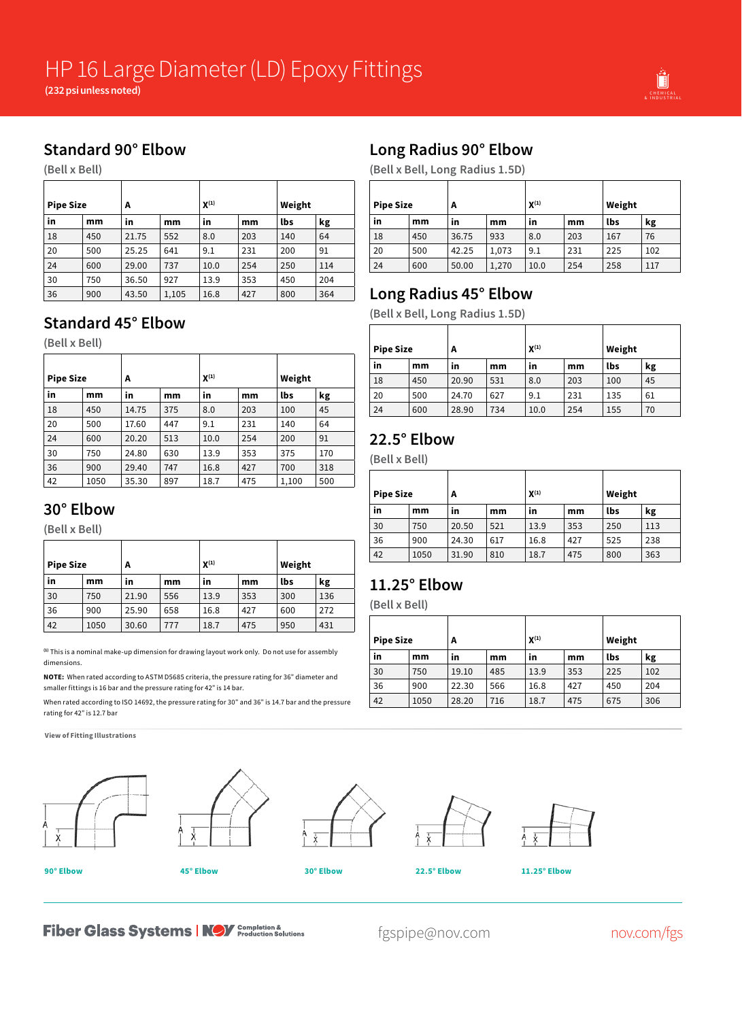

## **Standard 90° Elbow**

**(Bell x Bell)**

| <b>Pipe Size</b> |     | A     |       | $X^{(1)}$ |     |     | Weight |
|------------------|-----|-------|-------|-----------|-----|-----|--------|
| in               | mm  | in    | mm    | in        | mm  | lbs | kg     |
| 18               | 450 | 21.75 | 552   | 8.0       | 203 | 140 | 64     |
| 20               | 500 | 25.25 | 641   | 9.1       | 231 | 200 | 91     |
| 24               | 600 | 29.00 | 737   | 10.0      | 254 | 250 | 114    |
| 30               | 750 | 36.50 | 927   | 13.9      | 353 | 450 | 204    |
| 36               | 900 | 43.50 | 1,105 | 16.8      | 427 | 800 | 364    |

#### **Standard 45° Elbow**

**(Bell x Bell)**

| <b>Pipe Size</b> |      | A     |     | $X^{(1)}$ |     | Weight |     |
|------------------|------|-------|-----|-----------|-----|--------|-----|
| in               | mm   | in    | mm  | in        | mm  | lbs    | kg  |
| 18               | 450  | 14.75 | 375 | 8.0       | 203 | 100    | 45  |
| 20               | 500  | 17.60 | 447 | 9.1       | 231 | 140    | 64  |
| 24               | 600  | 20.20 | 513 | 10.0      | 254 | 200    | 91  |
| 30               | 750  | 24.80 | 630 | 13.9      | 353 | 375    | 170 |
| 36               | 900  | 29.40 | 747 | 16.8      | 427 | 700    | 318 |
| 42               | 1050 | 35.30 | 897 | 18.7      | 475 | 1,100  | 500 |

#### **30° Elbow**

**(Bell x Bell)**

| <b>Pipe Size</b> |      | A     |     | $X^{(1)}$ |     | Weight |     |
|------------------|------|-------|-----|-----------|-----|--------|-----|
| in               | mm   | in    | mm  | in        | mm  | lbs    | kg  |
| 30               | 750  | 21.90 | 556 | 13.9      | 353 | 300    | 136 |
| 36               | 900  | 25.90 | 658 | 16.8      | 427 | 600    | 272 |
| 42               | 1050 | 30.60 | 777 | 18.7      | 475 | 950    | 431 |

**(1)** This is a nominal make-up dimension for drawing layout work only. Do not use for assembly dimensions.

**NOTE:** When rated according to ASTM D5685 criteria, the pressure rating for 36" diameter and smaller fittings is 16 bar and the pressure rating for 42" is 14 bar.

When rated according to ISO 14692, the pressure rating for 30" and 36" is 14.7 bar and the pressure rating for 42" is 12.7 bar

**View of Fitting Illustrations**











# **Long Radius 90° Elbow**

**(Bell x Bell, Long Radius 1.5D)**

| <b>Pipe Size</b> |     | A     |       | $X^{(1)}$ |     | Weight |     |
|------------------|-----|-------|-------|-----------|-----|--------|-----|
| in               | mm  | in    | mm    | in        | mm  | lbs    | kg  |
| 18               | 450 | 36.75 | 933   | 8.0       | 203 | 167    | 76  |
| 20               | 500 | 42.25 | 1,073 | 9.1       | 231 | 225    | 102 |
| 24               | 600 | 50.00 | 1,270 | 10.0      | 254 | 258    | 117 |

## **Long Radius 45° Elbow**

**(Bell x Bell, Long Radius 1.5D)**

| <b>Pipe Size</b> |     | A     |     | $X^{(1)}$ |     | Weight |    |
|------------------|-----|-------|-----|-----------|-----|--------|----|
| in               | mm  | in    | mm  | in        | mm  | lbs    | kg |
| 18               | 450 | 20.90 | 531 | 8.0       | 203 | 100    | 45 |
| 20               | 500 | 24.70 | 627 | 9.1       | 231 | 135    | 61 |
| 24               | 600 | 28.90 | 734 | 10.0      | 254 | 155    | 70 |

#### **22.5° Elbow**

**(Bell x Bell)**

| <b>Pipe Size</b> |      | A     |     | $X^{(1)}$ |     | Weight |     |
|------------------|------|-------|-----|-----------|-----|--------|-----|
| in               | mm   | in    | mm  | in        | mm  | lbs    | kg  |
| 30               | 750  | 20.50 | 521 | 13.9      | 353 | 250    | 113 |
| 36               | 900  | 24.30 | 617 | 16.8      | 427 | 525    | 238 |
| 42               | 1050 | 31.90 | 810 | 18.7      | 475 | 800    | 363 |

## **11.25° Elbow**

**(Bell x Bell)**

| <b>Pipe Size</b> |      | A     |     | $X^{(1)}$ |     | Weight |     |
|------------------|------|-------|-----|-----------|-----|--------|-----|
| in               | mm   | in    | mm  | in        | mm  | lbs    | kg  |
| 30               | 750  | 19.10 | 485 | 13.9      | 353 | 225    | 102 |
| 36               | 900  | 22.30 | 566 | 16.8      | 427 | 450    | 204 |
| 42               | 1050 | 28.20 | 716 | 18.7      | 475 | 675    | 306 |

**Fiber Glass Systems | NOV** Completion &

fgspipe@nov.com nov.com/fgs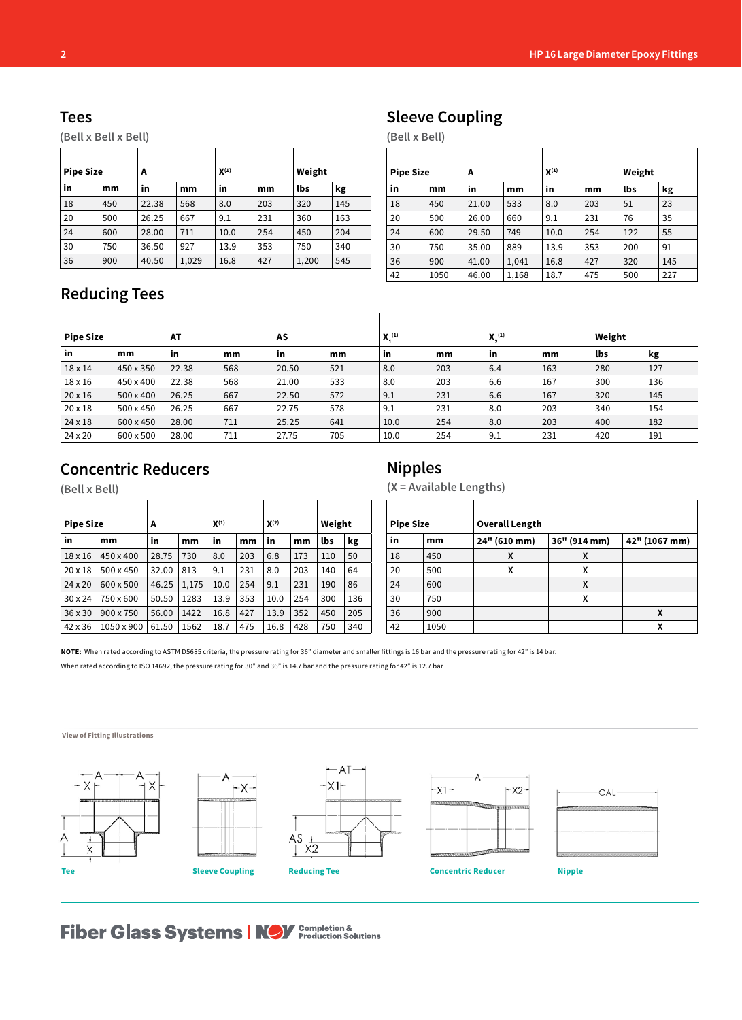#### **Tees**

**(Bell x Bell x Bell)**

| <b>Pipe Size</b> |     | A     |       | $X^{(1)}$ |     | Weight |     |
|------------------|-----|-------|-------|-----------|-----|--------|-----|
| in               | mm  | in    | mm    | in        | mm  | lbs    | kg  |
| 18               | 450 | 22.38 | 568   | 8.0       | 203 | 320    | 145 |
| 20               | 500 | 26.25 | 667   | 9.1       | 231 | 360    | 163 |
| 24               | 600 | 28.00 | 711   | 10.0      | 254 | 450    | 204 |
| 30               | 750 | 36.50 | 927   | 13.9      | 353 | 750    | 340 |
| 36               | 900 | 40.50 | 1,029 | 16.8      | 427 | 1,200  | 545 |

# **Sleeve Coupling**

**(Bell x Bell)**

| <b>Pipe Size</b> |      | А     |       | $X^{(1)}$ |     | Weight |     |
|------------------|------|-------|-------|-----------|-----|--------|-----|
| in               | mm   | in    | mm    | in        | mm  | lbs    | kg  |
| 18               | 450  | 21.00 | 533   | 8.0       | 203 | 51     | 23  |
| 20               | 500  | 26.00 | 660   | 9.1       | 231 | 76     | 35  |
| 24               | 600  | 29.50 | 749   | 10.0      | 254 | 122    | 55  |
| 30               | 750  | 35.00 | 889   | 13.9      | 353 | 200    | 91  |
| 36               | 900  | 41.00 | 1,041 | 16.8      | 427 | 320    | 145 |
| 42               | 1050 | 46.00 | 1,168 | 18.7      | 475 | 500    | 227 |

## **Reducing Tees**

| <b>Pipe Size</b> |           | AT    |     | AS    |     | X <sub>1</sub> (1) |     | $X_2^{(1)}$ |     | Weight |     |
|------------------|-----------|-------|-----|-------|-----|--------------------|-----|-------------|-----|--------|-----|
| in               | mm        | in    | mm  | ` in  | mm  | in                 | mm  | <b>in</b>   | mm  | lbs    | kg  |
| $18 \times 14$   | 450 x 350 | 22.38 | 568 | 20.50 | 521 | 8.0                | 203 | 6.4         | 163 | 280    | 127 |
| 18 x 16          | 450 x 400 | 22.38 | 568 | 21.00 | 533 | 8.0                | 203 | 6.6         | 167 | 300    | 136 |
| $20 \times 16$   | 500 x 400 | 26.25 | 667 | 22.50 | 572 | 9.1                | 231 | 6.6         | 167 | 320    | 145 |
| 20 x 18          | 500 x 450 | 26.25 | 667 | 22.75 | 578 | 9.1                | 231 | 8.0         | 203 | 340    | 154 |
| 24 x 18          | 600 x 450 | 28.00 | 711 | 25.25 | 641 | 10.0               | 254 | 8.0         | 203 | 400    | 182 |
| 24 x 20          | 600 x 500 | 28.00 | 711 | 27.75 | 705 | 10.0               | 254 | 9.1         | 231 | 420    | 191 |

#### **Concentric Reducers**

**(Bell x Bell)**

| <b>Pipe Size</b> |                  | A     |       | $X^{(1)}$ |     | $X^{(2)}$ |     | Weight |     |
|------------------|------------------|-------|-------|-----------|-----|-----------|-----|--------|-----|
| in               | mm               | in    | mm    | in        | mm  | in        | mm  | lbs    | kg  |
| $18 \times 16$   | 450 x 400        | 28.75 | 730   | 8.0       | 203 | 6.8       | 173 | 110    | 50  |
| $20 \times 18$   | 500 x 450        | 32.00 | 813   | 9.1       | 231 | 8.0       | 203 | 140    | 64  |
| $24 \times 20$   | 600 x 500        | 46.25 | 1,175 | 10.0      | 254 | 9.1       | 231 | 190    | 86  |
| $30 \times 24$   | 750 x 600        | 50.50 | 1283  | 13.9      | 353 | 10.0      | 254 | 300    | 136 |
| $36 \times 30$   | $900 \times 750$ | 56.00 | 1422  | 16.8      | 427 | 13.9      | 352 | 450    | 205 |
| 42 x 36          | 1050 x 900       | 61.50 | 1562  | 18.7      | 475 | 16.8      | 428 | 750    | 340 |

## **Nipples**

**(X = Available Lengths)**

| <b>Pipe Size</b> |      | <b>Overall Length</b> |              |   |  |  |  |  |  |
|------------------|------|-----------------------|--------------|---|--|--|--|--|--|
| in<br>mm         |      | 24" (610 mm)          | 36" (914 mm) |   |  |  |  |  |  |
| 18               | 450  | X                     | x            |   |  |  |  |  |  |
| 20               | 500  | X                     | χ            |   |  |  |  |  |  |
| 24               | 600  |                       | x            |   |  |  |  |  |  |
| 30               | 750  |                       | χ            |   |  |  |  |  |  |
| 36               | 900  |                       |              | X |  |  |  |  |  |
| 42               | 1050 |                       |              | χ |  |  |  |  |  |

**NOTE:** When rated according to ASTM D5685 criteria, the pressure rating for 36" diameter and smaller fittings is 16 bar and the pressure rating for 42" is 14 bar.

When rated according to ISO 14692, the pressure rating for 30" and 36" is 14.7 bar and the pressure rating for 42" is 12.7 bar



# **Fiber Glass Systems | NOV** Completion &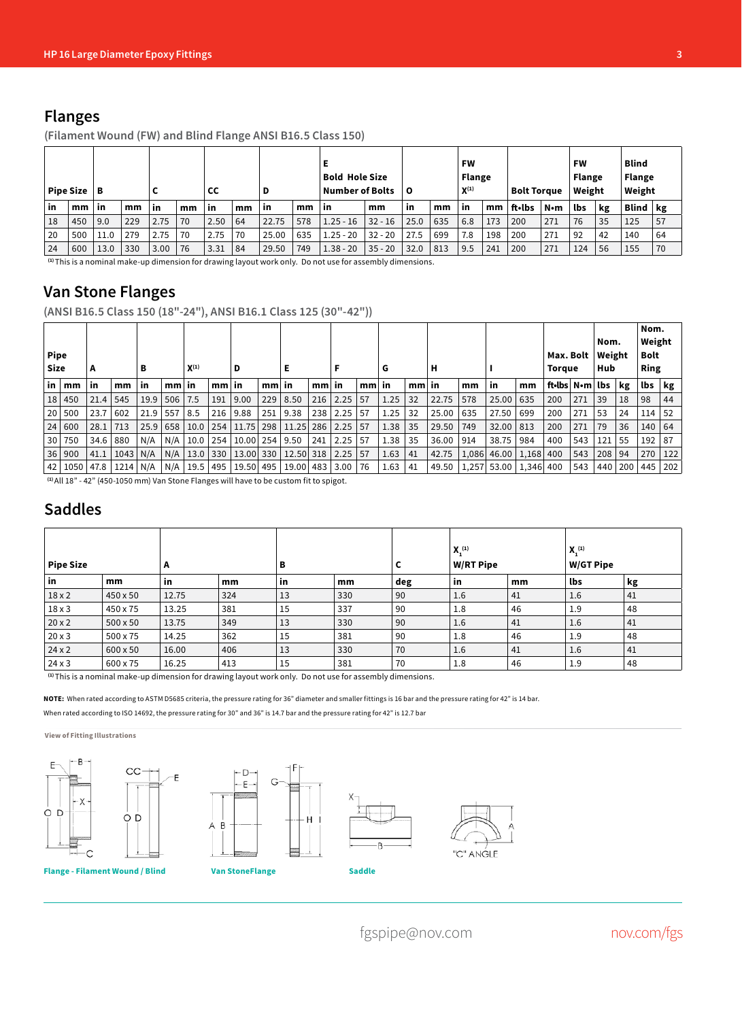#### **Flanges**

**(Filament Wound (FW) and Blind Flange ANSI B16.5 Class 150)**

| Pipe Size $ B $ |     |      |     |      |    | cс        |     | D         |     | Е<br><b>Bold Hole Size</b><br><b>Number of Bolts</b> |           | 0    |     | <b>FW</b><br><b>Flange</b><br>$X^{(1)}$ |     | <b>Bolt Toraue</b> |     | FW<br><b>Flange</b><br>Weight |    | <b>Blind</b><br><b>Flange</b><br>Weight |    |
|-----------------|-----|------|-----|------|----|-----------|-----|-----------|-----|------------------------------------------------------|-----------|------|-----|-----------------------------------------|-----|--------------------|-----|-------------------------------|----|-----------------------------------------|----|
| in              | mm  | ∣ in | mm  | in   | mm | <b>in</b> | mm  | <b>in</b> | mm  | <b>in</b>                                            | mm        | in   | mm  | in                                      | mm  | ft•lbs             | N•m | lbs                           | kg | <b>Blind</b>                            | kg |
| 18              | 450 | 9.0  | 229 | 2.75 | 70 | 2.50      | 64  | 22.75     | 578 | $1.25 - 16$                                          | $32 - 16$ | 25.0 | 635 | 6.8                                     | 173 | 200                | 271 | 76                            | 35 | 125                                     | 57 |
| 20              | 500 | 11.0 | 279 | 2.75 | 70 | 2.75      | 70  | 25.00     | 635 | $1.25 - 20$                                          | $32 - 20$ | 27.5 | 699 | 7.8                                     | 198 | 200                | 271 | 92                            | 42 | 140                                     | 64 |
| 24              | 600 | 13.0 | 330 | 3.00 | 76 | 3.31      | -84 | 29.50     | 749 | $1.38 - 20$                                          | $35 - 20$ | 32.0 | 813 | 9.5                                     | 241 | 200                | 271 | 124                           | 56 | 155                                     | 70 |

**(1)** This is a nominal make-up dimension for drawing layout work only. Do not use for assembly dimensions.

#### **Van Stone Flanges**

**(ANSI B16.5 Class 150 (18"-24"), ANSI B16.1 Class 125 (30"-42"))**

| <b>Pipe</b><br>Size |        | А    |      | в    |                 | $X^{(1)}$ |         | D                  |         | Е         |         |      |                 | G    |         | н     |       |                       |     | Max. Bolt<br><b>Torque</b> |     | Nom.<br>Weight<br>Hub |     | Nom.<br>Weight<br>Bolt<br>Ring |     |
|---------------------|--------|------|------|------|-----------------|-----------|---------|--------------------|---------|-----------|---------|------|-----------------|------|---------|-------|-------|-----------------------|-----|----------------------------|-----|-----------------------|-----|--------------------------------|-----|
| in l                | mm     | in   | mm   | in   | mm <sub>l</sub> | in        | $mm$ in |                    | $mm$ in |           | $mm$ in |      | mm <sub>l</sub> | in   | $mm$ in |       | mm    | -in                   | mm  | ft•lbs N•m lbs             |     |                       | kg  | lbs                            | kg  |
| 18 <sup>1</sup>     | 450    | 21.4 | 545  | 19.9 | 506             | 7.5       | 191     | 9.00               | 229     | 8.50      | 216     | 2.25 | 57              | 1.25 | 32      | 22.75 | 578   | 25.00                 | 635 | 200                        | 271 | 39                    | 18  | 98                             | 44  |
| 20 <sub>1</sub>     | 500    | 23.7 | 602  | 21.9 | 557             | 8.5       | 216     | 9.88               | 251     | 9.38      | 238     | 2.25 | -57             | 1.25 | 32      | 25.00 | 635   | 27.50                 | 699 | 200                        | 271 | 53                    | 24  | 114                            | 52  |
|                     | 24 600 | 28.1 | 713  | 25.9 | 658             | 10.0      | 254     | 11.75              | 298     | 11.25     | 286     | 2.25 | .57             | 1.38 | 35      | 29.50 | 749   | 32.00                 | 813 | 200                        | 271 | 79                    | 36  | 140                            | 64  |
| 30 <sup>1</sup>     | 750    | 34.6 | 880  | N/A  | N/A             | 10.0      | 254     | 10.00   254   9.50 |         |           | 241     | 2.25 | -57             | 1.38 | 35      | 36.00 | 914   | 38.75                 | 984 | 400                        | 543 | 121                   | 55  | 192                            | 87  |
|                     | 36 900 | 41.1 | 1043 | N/A  | N/A             | 13.0      | 330     | 13.00 330          |         | 12.50 318 |         | 2.25 | 57              | 1.63 | 41      | 42.75 | 1,086 | 46.00   1,168   400   |     |                            | 543 | 208                   | 94  | 270                            | 122 |
| 42 <sub>1</sub>     | 1050   | 47.8 | 1214 | N/A  | N/A             | 19.5      | 495     | 19.50              | 495     | 19.00     | 483     | 3.00 | 76              | 1.63 | 41      | 49.50 |       | 1,257 53.00 1,346 400 |     |                            | 543 | 440                   | 200 | 445                            | 202 |

**(1)** All 18" - 42" (450-1050 mm) Van Stone Flanges will have to be custom fit to spigot.

#### **Saddles**

| <b>Pipe Size</b> |                 | A          |     | в  |                    | L   | $X_1^{(1)}$<br><b>W/RT Pipe</b> |    | $X_1^{(1)}$<br><b>W/GT Pipe</b> |    |  |  |
|------------------|-----------------|------------|-----|----|--------------------|-----|---------------------------------|----|---------------------------------|----|--|--|
| in               | mm              | in         | mm  | in | mm                 | deg | in                              | mm | lbs                             | kg |  |  |
| $18 \times 2$    | $450 \times 50$ | 12.75      | 324 | 13 | 330                | 90  | 1.6                             | 41 | $1.6\,$                         | 41 |  |  |
| $18 \times 3$    | 450 x 75        | 13.25      | 381 | 15 | 337                | 90  | 1.8                             | 46 | 1.9                             | 48 |  |  |
| $20 \times 2$    | $500 \times 50$ | 13.75      | 349 | 13 | 330                | 90  | 1.6                             | 41 | 1.6                             | 41 |  |  |
| $20 \times 3$    | $500 \times 75$ | 14.25      | 362 | 15 | 381                | 90  | 1.8                             | 46 | 1.9                             | 48 |  |  |
| $24 \times 2$    | $600 \times 50$ | 16.00      | 406 | 13 | 330                | 70  | 1.6                             | 41 | 1.6                             | 41 |  |  |
| 24x3<br>$\cdots$ | 600 x 75<br>.   | 16.25<br>. | 413 | 15 | 381<br>$\sim$<br>. | 70  | 1.8                             | 46 | 1.9                             | 48 |  |  |

**(1)** This is a nominal make-up dimension for drawing layout work only. Do not use for assembly dimensions.

**NOTE:** When rated according to ASTM D5685 criteria, the pressure rating for 36" diameter and smaller fittings is 16 bar and the pressure rating for 42" is 14 bar. When rated according to ISO 14692, the pressure rating for 30" and 36" is 14.7 bar and the pressure rating for 42" is 12.7 bar

#### **View of Fitting Illustrations**







fgspipe@nov.com nov.com/fgs